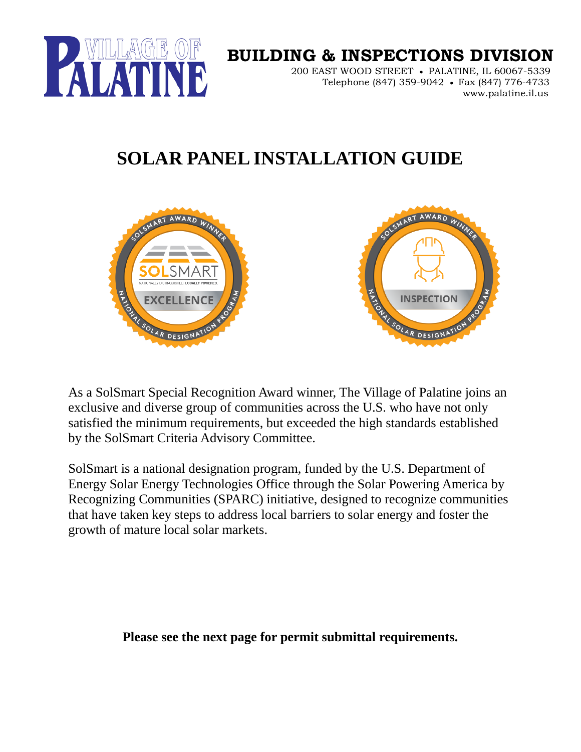

## **BUILDING & INSPECTIONS DIVISION**

 200 EAST WOOD STREET • PALATINE, IL 60067-5339 Telephone (847) 359-9042 • Fax (847) 776-4733 www.palatine.il.us

## **SOLAR PANEL INSTALLATION GUIDE**



As a SolSmart Special Recognition Award winner, The Village of Palatine joins an exclusive and diverse group of communities across the U.S. who have not only satisfied the minimum requirements, but exceeded the high standards established by the SolSmart Criteria Advisory Committee.

SolSmart is a national designation program, funded by the U.S. Department of Energy Solar Energy Technologies Office through the Solar Powering America by Recognizing Communities (SPARC) initiative, designed to recognize communities that have taken key steps to address local barriers to solar energy and foster the growth of mature local solar markets.

**Please see the next page for permit submittal requirements.**